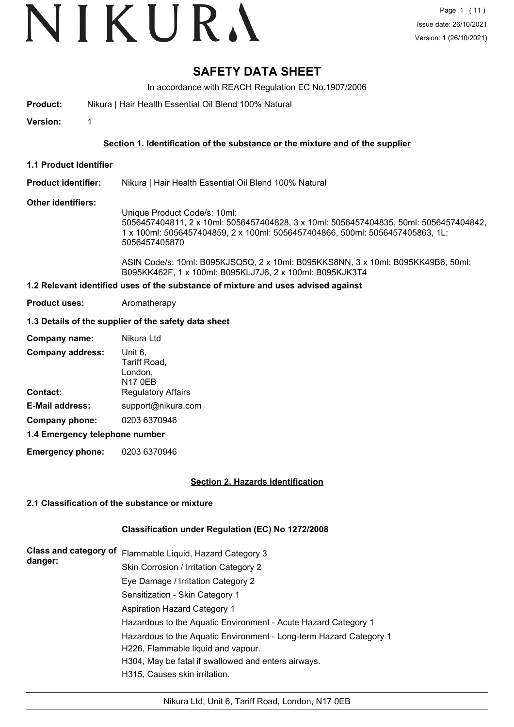### **SAFETY DATA SHEET**

In accordance with REACH Regulation EC No.1907/2006

**Product:** Nikura | Hair Health Essential Oil Blend 100% Natural

**Version:** 1

#### **Section 1. Identification of the substance or the mixture and of the supplier**

**1.1 Product Identifier**

#### **Product identifier:** Nikura | Hair Health Essential Oil Blend 100% Natural

#### **Other identifiers:**

Unique Product Code/s: 10ml: 5056457404811, 2 x 10ml: 5056457404828, 3 x 10ml: 5056457404835, 50ml: 5056457404842, 1 x 100ml: 5056457404859, 2 x 100ml: 5056457404866, 500ml: 5056457405863, 1L: 5056457405870

ASIN Code/s: 10ml: B095KJSQ5Q, 2 x 10ml: B095KKS8NN, 3 x 10ml: B095KK49B6, 50ml: B095KK462F, 1 x 100ml: B095KLJ7J6, 2 x 100ml: B095KJK3T4

#### **1.2 Relevant identified uses of the substance of mixture and uses advised against**

**Product uses:** Aromatherapy

#### **1.3 Details of the supplier of the safety data sheet**

| Company name:                  | Nikura Ltd                                    |
|--------------------------------|-----------------------------------------------|
| <b>Company address:</b>        | Unit 6,<br>Tariff Road,<br>London,<br>N17 0EB |
| Contact:                       | <b>Regulatory Affairs</b>                     |
| <b>E-Mail address:</b>         | support@nikura.com                            |
| Company phone:                 | 0203 6370946                                  |
| 1.4 Emergency telephone number |                                               |

### **Emergency phone:** 0203 6370946

#### **Section 2. Hazards identification**

#### **2.1 Classification of the substance or mixture**

#### **Classification under Regulation (EC) No 1272/2008**

| <b>Class and category of</b><br>danger: | Flammable Liquid, Hazard Category 3                                |
|-----------------------------------------|--------------------------------------------------------------------|
|                                         | Skin Corrosion / Irritation Category 2                             |
|                                         | Eye Damage / Irritation Category 2                                 |
|                                         | Sensitization - Skin Category 1                                    |
|                                         | <b>Aspiration Hazard Category 1</b>                                |
|                                         | Hazardous to the Aquatic Environment - Acute Hazard Category 1     |
|                                         | Hazardous to the Aquatic Environment - Long-term Hazard Category 1 |
|                                         | H226, Flammable liquid and vapour.                                 |
|                                         | H304, May be fatal if swallowed and enters airways.                |
|                                         | H315, Causes skin irritation.                                      |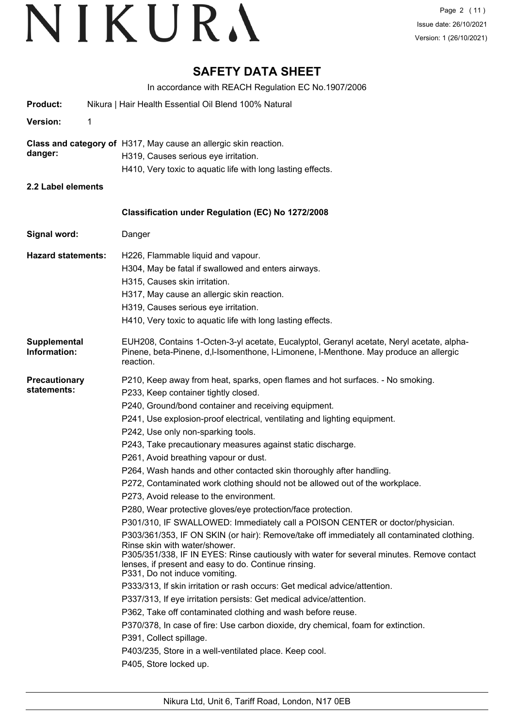### **SAFETY DATA SHEET**

In accordance with REACH Regulation EC No.1907/2006

| <b>Product:</b>                     | Nikura   Hair Health Essential Oil Blend 100% Natural                                                                                                                                                                                                                                                                                                                                                                                                                                                                                                                                                                                                                                                                                                                                                                                                                                                                                                                                                                                                                                                                                                                                                                                                                                                                                                                                                                                                                                                      |
|-------------------------------------|------------------------------------------------------------------------------------------------------------------------------------------------------------------------------------------------------------------------------------------------------------------------------------------------------------------------------------------------------------------------------------------------------------------------------------------------------------------------------------------------------------------------------------------------------------------------------------------------------------------------------------------------------------------------------------------------------------------------------------------------------------------------------------------------------------------------------------------------------------------------------------------------------------------------------------------------------------------------------------------------------------------------------------------------------------------------------------------------------------------------------------------------------------------------------------------------------------------------------------------------------------------------------------------------------------------------------------------------------------------------------------------------------------------------------------------------------------------------------------------------------------|
| Version:<br>1                       |                                                                                                                                                                                                                                                                                                                                                                                                                                                                                                                                                                                                                                                                                                                                                                                                                                                                                                                                                                                                                                                                                                                                                                                                                                                                                                                                                                                                                                                                                                            |
| danger:                             | Class and category of H317, May cause an allergic skin reaction.<br>H319, Causes serious eye irritation.<br>H410, Very toxic to aquatic life with long lasting effects.                                                                                                                                                                                                                                                                                                                                                                                                                                                                                                                                                                                                                                                                                                                                                                                                                                                                                                                                                                                                                                                                                                                                                                                                                                                                                                                                    |
| 2.2 Label elements                  |                                                                                                                                                                                                                                                                                                                                                                                                                                                                                                                                                                                                                                                                                                                                                                                                                                                                                                                                                                                                                                                                                                                                                                                                                                                                                                                                                                                                                                                                                                            |
|                                     | Classification under Regulation (EC) No 1272/2008                                                                                                                                                                                                                                                                                                                                                                                                                                                                                                                                                                                                                                                                                                                                                                                                                                                                                                                                                                                                                                                                                                                                                                                                                                                                                                                                                                                                                                                          |
| Signal word:                        | Danger                                                                                                                                                                                                                                                                                                                                                                                                                                                                                                                                                                                                                                                                                                                                                                                                                                                                                                                                                                                                                                                                                                                                                                                                                                                                                                                                                                                                                                                                                                     |
| <b>Hazard statements:</b>           | H226, Flammable liquid and vapour.<br>H304, May be fatal if swallowed and enters airways.<br>H315, Causes skin irritation.<br>H317, May cause an allergic skin reaction.<br>H319, Causes serious eye irritation.<br>H410, Very toxic to aquatic life with long lasting effects.                                                                                                                                                                                                                                                                                                                                                                                                                                                                                                                                                                                                                                                                                                                                                                                                                                                                                                                                                                                                                                                                                                                                                                                                                            |
| <b>Supplemental</b><br>Information: | EUH208, Contains 1-Octen-3-yl acetate, Eucalyptol, Geranyl acetate, Neryl acetate, alpha-<br>Pinene, beta-Pinene, d,I-Isomenthone, I-Limonene, I-Menthone. May produce an allergic<br>reaction.                                                                                                                                                                                                                                                                                                                                                                                                                                                                                                                                                                                                                                                                                                                                                                                                                                                                                                                                                                                                                                                                                                                                                                                                                                                                                                            |
| <b>Precautionary</b><br>statements: | P210, Keep away from heat, sparks, open flames and hot surfaces. - No smoking.<br>P233, Keep container tightly closed.<br>P240, Ground/bond container and receiving equipment.<br>P241, Use explosion-proof electrical, ventilating and lighting equipment.<br>P242, Use only non-sparking tools.<br>P243, Take precautionary measures against static discharge.<br>P261, Avoid breathing vapour or dust.<br>P264, Wash hands and other contacted skin thoroughly after handling.<br>P272, Contaminated work clothing should not be allowed out of the workplace.<br>P273, Avoid release to the environment.<br>P280, Wear protective gloves/eye protection/face protection.<br>P301/310, IF SWALLOWED: Immediately call a POISON CENTER or doctor/physician.<br>P303/361/353, IF ON SKIN (or hair): Remove/take off immediately all contaminated clothing.<br>Rinse skin with water/shower.<br>P305/351/338, IF IN EYES: Rinse cautiously with water for several minutes. Remove contact<br>lenses, if present and easy to do. Continue rinsing.<br>P331, Do not induce vomiting.<br>P333/313, If skin irritation or rash occurs: Get medical advice/attention.<br>P337/313, If eye irritation persists: Get medical advice/attention.<br>P362, Take off contaminated clothing and wash before reuse.<br>P370/378, In case of fire: Use carbon dioxide, dry chemical, foam for extinction.<br>P391, Collect spillage.<br>P403/235, Store in a well-ventilated place. Keep cool.<br>P405, Store locked up. |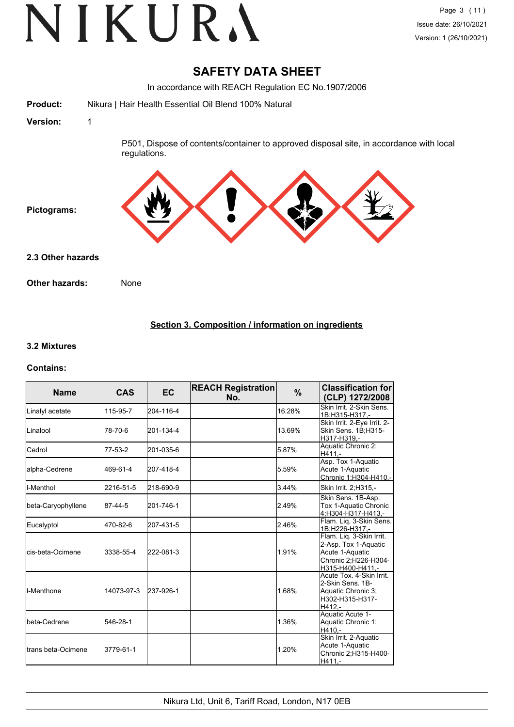### **SAFETY DATA SHEET**

In accordance with REACH Regulation EC No.1907/2006

**Product:** Nikura | Hair Health Essential Oil Blend 100% Natural **Version:** 1 P501, Dispose of contents/container to approved disposal site, in accordance with local regulations. **Pictograms: Other hazards:** None **2.3 Other hazards**

#### **Section 3. Composition / information on ingredients**

#### **3.2 Mixtures**

#### **Contains:**

| <b>Name</b>                 | <b>CAS</b> | <b>EC</b> | <b>REACH Registration</b><br>No. | %      | <b>Classification for</b><br>(CLP) 1272/2008                                                                    |
|-----------------------------|------------|-----------|----------------------------------|--------|-----------------------------------------------------------------------------------------------------------------|
| Linalyl acetate             | 115-95-7   | 204-116-4 |                                  | 16.28% | Skin Irrit. 2-Skin Sens.<br>1B;H315-H317,-                                                                      |
| <b>Linalool</b>             | 78-70-6    | 201-134-4 |                                  | 13.69% | Skin Irrit. 2-Eye Irrit. 2-<br>Skin Sens. 1B;H315-<br>H317-H319.-                                               |
| <b>I</b> Cedrol             | 77-53-2    | 201-035-6 |                                  | 5.87%  | Aquatic Chronic 2:<br>H411.-                                                                                    |
| lalpha-Cedrene              | 469-61-4   | 207-418-4 |                                  | 5.59%  | Asp. Tox 1-Aquatic<br>Acute 1-Aquatic<br>Chronic 1;H304-H410,-                                                  |
| ll-Menthol                  | 2216-51-5  | 218-690-9 |                                  | 3.44%  | Skin Irrit. 2; H315,-                                                                                           |
| beta-Caryophyllene          | 87-44-5    | 201-746-1 |                                  | 2.49%  | Skin Sens. 1B-Asp.<br>Tox 1-Aquatic Chronic<br>4:H304-H317-H413.-                                               |
| Eucalyptol                  | 470-82-6   | 207-431-5 |                                  | 2.46%  | Flam. Liq. 3-Skin Sens.<br>1B;H226-H317,-                                                                       |
| <b>l</b> cis-beta-Ocimene   | 3338-55-4  | 222-081-3 |                                  | 1.91%  | Flam. Lig. 3-Skin Irrit.<br>2-Asp. Tox 1-Aquatic<br>Acute 1-Aquatic<br>Chronic 2;H226-H304-<br>H315-H400-H411,- |
| II-Menthone                 | 14073-97-3 | 237-926-1 |                                  | 1.68%  | Acute Tox. 4-Skin Irrit.<br>2-Skin Sens, 1B-<br>Aquatic Chronic 3;<br>H302-H315-H317-<br>H412.-                 |
| Ibeta-Cedrene               | 546-28-1   |           |                                  | 1.36%  | Aquatic Acute 1-<br>Aquatic Chronic 1;<br>H410.-                                                                |
| <b>I</b> trans beta-Ocimene | 3779-61-1  |           |                                  | 1.20%  | Skin Irrit. 2-Aquatic<br>Acute 1-Aquatic<br>Chronic 2; H315-H400-<br>$H411. -$                                  |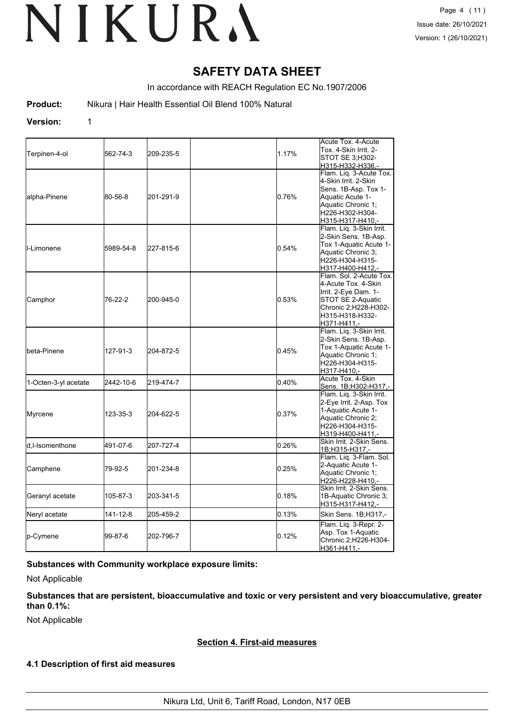### **SAFETY DATA SHEET**

In accordance with REACH Regulation EC No.1907/2006

**Product:** Nikura | Hair Health Essential Oil Blend 100% Natural

#### **Version:** 1

|                      |           |           |       | Acute Tox. 4-Acute                           |
|----------------------|-----------|-----------|-------|----------------------------------------------|
| Terpinen-4-ol        | 562-74-3  | 209-235-5 | 1.17% | Tox. 4-Skin Irrit. 2-                        |
|                      |           |           |       | STOT SE 3;H302-                              |
|                      |           |           |       | H315-H332-H336,-                             |
|                      |           |           |       | Flam. Lig. 3-Acute Tox.                      |
|                      |           |           |       | 4-Skin Irrit, 2-Skin                         |
|                      |           |           |       | Sens. 1B-Asp. Tox 1-                         |
| alpha-Pinene         | 80-56-8   | 201-291-9 | 0.76% | Aquatic Acute 1-                             |
|                      |           |           |       | Aquatic Chronic 1;                           |
|                      |           |           |       | H226-H302-H304-                              |
|                      |           |           |       | H315-H317-H410,-                             |
|                      |           |           |       | Flam. Liq. 3-Skin Irrit.                     |
|                      |           |           |       | 2-Skin Sens. 1B-Asp.                         |
|                      |           |           |       | Tox 1-Aquatic Acute 1-                       |
| ll-Limonene          | 5989-54-8 | 227-815-6 | 0.54% | Aquatic Chronic 3;                           |
|                      |           |           |       | H226-H304-H315-                              |
|                      |           |           |       | H317-H400-H412,-                             |
|                      |           |           |       | Flam. Sol. 2-Acute Tox.                      |
|                      |           |           |       | 4-Acute Tox. 4-Skin                          |
|                      |           |           |       | Irrit. 2-Eye Dam. 1-                         |
| Camphor              | 76-22-2   | 200-945-0 | 0.53% | STOT SE 2-Aquatic                            |
|                      |           |           |       | Chronic 2;H228-H302-                         |
|                      |           |           |       | H315-H318-H332-                              |
|                      |           |           |       | H371-H411.-                                  |
|                      | 127-91-3  |           |       | Flam. Liq. 3-Skin Irrit.                     |
|                      |           |           |       | 2-Skin Sens. 1B-Asp.                         |
|                      |           |           |       | Tox 1-Aquatic Acute 1-                       |
| beta-Pinene          |           | 204-872-5 | 0.45% | Aquatic Chronic 1:                           |
|                      |           |           |       | H226-H304-H315-                              |
|                      |           |           |       | H317-H410,-                                  |
|                      |           |           |       | Acute Tox. 4-Skin                            |
| 1-Octen-3-yl acetate | 2442-10-6 | 219-474-7 | 0.40% | Sens. 1B;H302-H317,-                         |
|                      |           |           |       | Flam. Liq. 3-Skin Irrit.                     |
|                      |           |           |       | 2-Eye Irrit. 2-Asp. Tox                      |
|                      |           |           |       | 1-Aquatic Acute 1-                           |
| Myrcene              | 123-35-3  | 204-622-5 | 0.37% |                                              |
|                      |           |           |       | Aquatic Chronic 2;                           |
|                      |           |           |       | H226-H304-H315-                              |
|                      |           |           |       | H319-H400-H411,-<br>Skin Irrit, 2-Skin Sens. |
| d,I-Isomenthone      | 491-07-6  | 207-727-4 | 0.26% |                                              |
|                      |           |           |       | 1B;H315-H317,-<br>Flam. Liq. 3-Flam. Sol.    |
|                      |           |           |       | 2-Aquatic Acute 1-                           |
| Camphene             | 79-92-5   | 201-234-8 | 0.25% | Aquatic Chronic 1;                           |
|                      |           |           |       | H226-H228-H410,-                             |
|                      |           |           |       | Skin Irrit. 2-Skin Sens.                     |
|                      | 105-87-3  |           | 0.18% |                                              |
| Geranyl acetate      |           | 203-341-5 |       | 1B-Aquatic Chronic 3;<br>H315-H317-H412,-    |
|                      |           |           |       |                                              |
| Neryl acetate        | 141-12-8  | 205-459-2 | 0.13% | Skin Sens. 1B; H317,-                        |
|                      |           |           |       | Flam. Liq. 3-Repr. 2-                        |
|                      | 99-87-6   | 202-796-7 | 0.12% | Asp. Tox 1-Aquatic                           |
| p-Cymene             |           |           |       | Chronic 2;H226-H304-                         |
|                      |           |           |       | H361-H411,-                                  |

#### **Substances with Community workplace exposure limits:**

Not Applicable

**Substances that are persistent, bioaccumulative and toxic or very persistent and very bioaccumulative, greater than 0.1%:**

Not Applicable

#### **Section 4. First-aid measures**

#### **4.1 Description of first aid measures**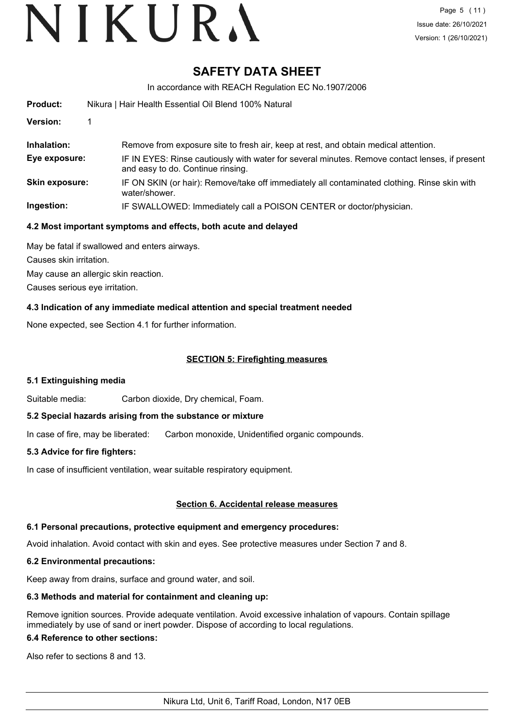### **SAFETY DATA SHEET**

In accordance with REACH Regulation EC No.1907/2006

| <b>Product:</b>       | Nikura   Hair Health Essential Oil Blend 100% Natural                                                                               |  |  |
|-----------------------|-------------------------------------------------------------------------------------------------------------------------------------|--|--|
| Version:              |                                                                                                                                     |  |  |
| Inhalation:           | Remove from exposure site to fresh air, keep at rest, and obtain medical attention.                                                 |  |  |
| Eye exposure:         | IF IN EYES: Rinse cautiously with water for several minutes. Remove contact lenses, if present<br>and easy to do. Continue rinsing. |  |  |
| <b>Skin exposure:</b> | IF ON SKIN (or hair): Remove/take off immediately all contaminated clothing. Rinse skin with<br>water/shower.                       |  |  |
| Ingestion:            | IF SWALLOWED: Immediately call a POISON CENTER or doctor/physician.                                                                 |  |  |

#### **4.2 Most important symptoms and effects, both acute and delayed**

May be fatal if swallowed and enters airways. Causes skin irritation.

May cause an allergic skin reaction.

Causes serious eye irritation.

#### **4.3 Indication of any immediate medical attention and special treatment needed**

None expected, see Section 4.1 for further information.

#### **SECTION 5: Firefighting measures**

#### **5.1 Extinguishing media**

Suitable media: Carbon dioxide, Dry chemical, Foam.

#### **5.2 Special hazards arising from the substance or mixture**

In case of fire, may be liberated: Carbon monoxide, Unidentified organic compounds.

#### **5.3 Advice for fire fighters:**

In case of insufficient ventilation, wear suitable respiratory equipment.

#### **Section 6. Accidental release measures**

#### **6.1 Personal precautions, protective equipment and emergency procedures:**

Avoid inhalation. Avoid contact with skin and eyes. See protective measures under Section 7 and 8.

#### **6.2 Environmental precautions:**

Keep away from drains, surface and ground water, and soil.

#### **6.3 Methods and material for containment and cleaning up:**

Remove ignition sources. Provide adequate ventilation. Avoid excessive inhalation of vapours. Contain spillage immediately by use of sand or inert powder. Dispose of according to local regulations.

#### **6.4 Reference to other sections:**

Also refer to sections 8 and 13.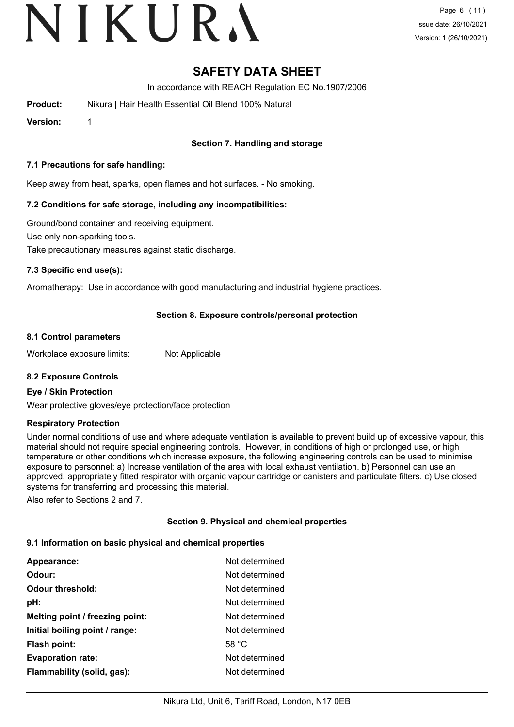### **SAFETY DATA SHEET**

In accordance with REACH Regulation EC No.1907/2006

**Product:** Nikura | Hair Health Essential Oil Blend 100% Natural

**Version:** 1

#### **Section 7. Handling and storage**

#### **7.1 Precautions for safe handling:**

Keep away from heat, sparks, open flames and hot surfaces. - No smoking.

#### **7.2 Conditions for safe storage, including any incompatibilities:**

Ground/bond container and receiving equipment. Use only non-sparking tools. Take precautionary measures against static discharge.

#### **7.3 Specific end use(s):**

Aromatherapy: Use in accordance with good manufacturing and industrial hygiene practices.

#### **Section 8. Exposure controls/personal protection**

#### **8.1 Control parameters**

Workplace exposure limits: Not Applicable

#### **8.2 Exposure Controls**

#### **Eye / Skin Protection**

Wear protective gloves/eye protection/face protection

#### **Respiratory Protection**

Under normal conditions of use and where adequate ventilation is available to prevent build up of excessive vapour, this material should not require special engineering controls. However, in conditions of high or prolonged use, or high temperature or other conditions which increase exposure, the following engineering controls can be used to minimise exposure to personnel: a) Increase ventilation of the area with local exhaust ventilation. b) Personnel can use an approved, appropriately fitted respirator with organic vapour cartridge or canisters and particulate filters. c) Use closed systems for transferring and processing this material.

Also refer to Sections 2 and 7.

#### **Section 9. Physical and chemical properties**

#### **9.1 Information on basic physical and chemical properties**

| Appearance:                     | Not determined |
|---------------------------------|----------------|
| Odour:                          | Not determined |
| <b>Odour threshold:</b>         | Not determined |
| pH:                             | Not determined |
| Melting point / freezing point: | Not determined |
| Initial boiling point / range:  | Not determined |
| <b>Flash point:</b>             | 58 $°C$        |
| <b>Evaporation rate:</b>        | Not determined |
| Flammability (solid, gas):      | Not determined |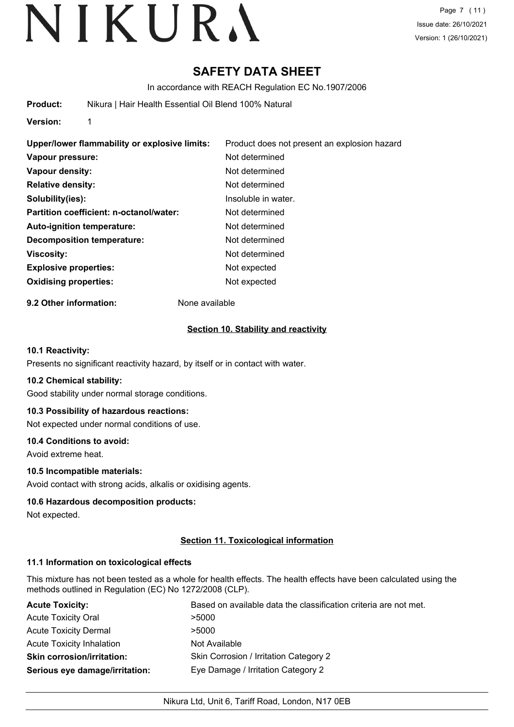### **SAFETY DATA SHEET**

In accordance with REACH Regulation EC No.1907/2006

**Product:** Nikura | Hair Health Essential Oil Blend 100% Natural

**Version:** 1

**Upper/lower flammability or explosive limits:** Product does not present an explosion hazard **Vapour pressure:** Not determined **Vapour density:** Not determined **Relative density:** Not determined **Solubility(ies):** Insoluble in water. **Partition coefficient: n-octanol/water:** Not determined Auto-ignition temperature: Not determined **Decomposition temperature:** Not determined **Viscosity:** Not determined **Explosive properties:** Not expected **Oxidising properties:** Not expected

**9.2 Other information:** None available

#### **Section 10. Stability and reactivity**

#### **10.1 Reactivity:**

Presents no significant reactivity hazard, by itself or in contact with water.

#### **10.2 Chemical stability:**

Good stability under normal storage conditions.

#### **10.3 Possibility of hazardous reactions:**

Not expected under normal conditions of use.

#### **10.4 Conditions to avoid:**

Avoid extreme heat.

#### **10.5 Incompatible materials:**

Avoid contact with strong acids, alkalis or oxidising agents.

#### **10.6 Hazardous decomposition products:**

Not expected.

#### **Section 11. Toxicological information**

#### **11.1 Information on toxicological effects**

This mixture has not been tested as a whole for health effects. The health effects have been calculated using the methods outlined in Regulation (EC) No 1272/2008 (CLP).

| <b>Acute Toxicity:</b>            | Based on available data the classification criteria are not met. |
|-----------------------------------|------------------------------------------------------------------|
| <b>Acute Toxicity Oral</b>        | >5000                                                            |
| <b>Acute Toxicity Dermal</b>      | >5000                                                            |
| Acute Toxicity Inhalation         | Not Available                                                    |
| <b>Skin corrosion/irritation:</b> | Skin Corrosion / Irritation Category 2                           |
| Serious eye damage/irritation:    | Eye Damage / Irritation Category 2                               |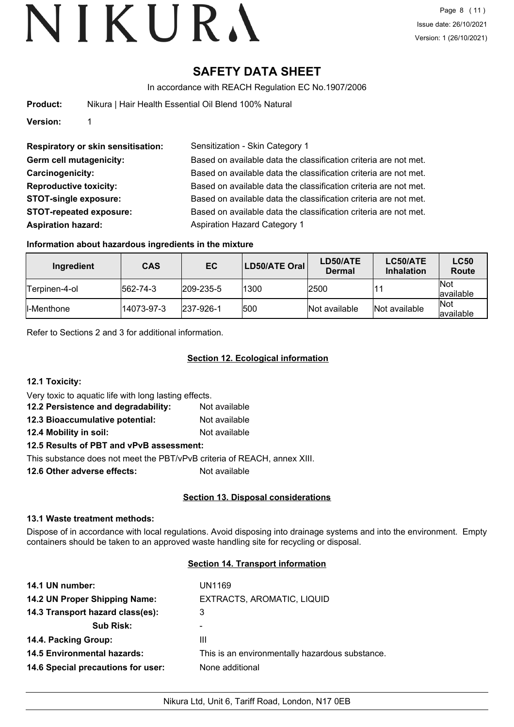## **SAFETY DATA SHEET**

In accordance with REACH Regulation EC No.1907/2006

| Product: |  |  | Nikura   Hair Health Essential Oil Blend 100% Natural |  |
|----------|--|--|-------------------------------------------------------|--|
|          |  |  |                                                       |  |

**Version:** 1

**Respiratory or skin sensitisation:** Sensitization - Skin Category 1 **Aspiration hazard:** Aspiration Hazard Category 1

**Germ cell mutagenicity:** Based on available data the classification criteria are not met. **Carcinogenicity:** Based on available data the classification criteria are not met. **Reproductive toxicity:** Based on available data the classification criteria are not met. **STOT-single exposure:** Based on available data the classification criteria are not met. **STOT-repeated exposure:** Based on available data the classification criteria are not met.

#### **Information about hazardous ingredients in the mixture**

| Ingredient     | <b>CAS</b> | EC                | LD50/ATE Oral | LD50/ATE<br><b>Dermal</b> | LC50/ATE<br><b>Inhalation</b> | <b>LC50</b><br>Route     |
|----------------|------------|-------------------|---------------|---------------------------|-------------------------------|--------------------------|
| lTerpinen-4-ol | 562-74-3   | $ 209 - 235 - 5 $ | 1300          | 2500                      |                               | <b>Not</b><br>lavailable |
| ll-Menthone    | 14073-97-3 | $ 237-926-1$      | 500           | Not available             | Not available                 | <b>Not</b><br>lavailable |

Refer to Sections 2 and 3 for additional information.

### **Section 12. Ecological information**

**12.1 Toxicity:**

Very toxic to aquatic life with long lasting effects.

| 12.2 Persistence and degradability: | Not available |
|-------------------------------------|---------------|
| 12.3 Bioaccumulative potential:     | Not available |

**12.4 Mobility in soil:** Not available

#### **12.5 Results of PBT and vPvB assessment:**

This substance does not meet the PBT/vPvB criteria of REACH, annex XIII.

**12.6 Other adverse effects:** Not available

#### **Section 13. Disposal considerations**

#### **13.1 Waste treatment methods:**

Dispose of in accordance with local regulations. Avoid disposing into drainage systems and into the environment. Empty containers should be taken to an approved waste handling site for recycling or disposal.

#### **Section 14. Transport information**

| UN1169                                          |
|-------------------------------------------------|
| EXTRACTS, AROMATIC, LIQUID                      |
|                                                 |
|                                                 |
|                                                 |
| This is an environmentally hazardous substance. |
| None additional                                 |
|                                                 |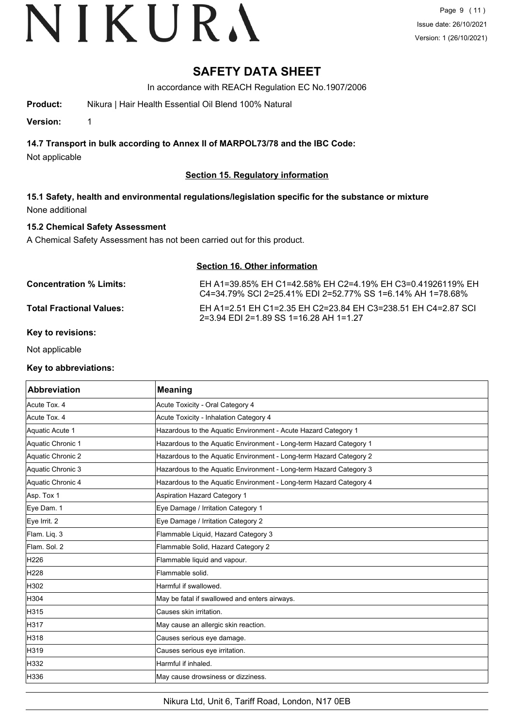### **SAFETY DATA SHEET**

In accordance with REACH Regulation EC No.1907/2006

**Product:** Nikura | Hair Health Essential Oil Blend 100% Natural

**Version:** 1

**14.7 Transport in bulk according to Annex II of MARPOL73/78 and the IBC Code:**

Not applicable

#### **Section 15. Regulatory information**

**15.1 Safety, health and environmental regulations/legislation specific for the substance or mixture** None additional

#### **15.2 Chemical Safety Assessment**

A Chemical Safety Assessment has not been carried out for this product.

| Section 16. Other information   |                                                                                                                          |  |
|---------------------------------|--------------------------------------------------------------------------------------------------------------------------|--|
| <b>Concentration % Limits:</b>  | EH A1=39.85% EH C1=42.58% EH C2=4.19% EH C3=0.41926119% EH<br>C4=34 79% SCI 2=25.41% EDI 2=52.77% SS 1=6.14% AH 1=78.68% |  |
| <b>Total Fractional Values:</b> | EH A1=2.51 EH C1=2.35 EH C2=23.84 EH C3=238.51 EH C4=2.87 SCI                                                            |  |

2=3.94 EDI 2=1.89 SS 1=16.28 AH 1=1.27

#### **Key to revisions:**

Not applicable

#### **Key to abbreviations:**

| <b>Abbreviation</b> | <b>Meaning</b>                                                     |
|---------------------|--------------------------------------------------------------------|
| Acute Tox. 4        | Acute Toxicity - Oral Category 4                                   |
| Acute Tox. 4        | Acute Toxicity - Inhalation Category 4                             |
| Aquatic Acute 1     | Hazardous to the Aquatic Environment - Acute Hazard Category 1     |
| Aquatic Chronic 1   | Hazardous to the Aquatic Environment - Long-term Hazard Category 1 |
| Aquatic Chronic 2   | Hazardous to the Aquatic Environment - Long-term Hazard Category 2 |
| Aquatic Chronic 3   | Hazardous to the Aquatic Environment - Long-term Hazard Category 3 |
| Aquatic Chronic 4   | Hazardous to the Aquatic Environment - Long-term Hazard Category 4 |
| Asp. Tox 1          | Aspiration Hazard Category 1                                       |
| Eye Dam. 1          | Eye Damage / Irritation Category 1                                 |
| Eye Irrit. 2        | Eye Damage / Irritation Category 2                                 |
| Flam. Liq. 3        | Flammable Liquid, Hazard Category 3                                |
| Flam, Sol. 2        | Flammable Solid, Hazard Category 2                                 |
| H226                | Flammable liquid and vapour.                                       |
| H228                | Flammable solid.                                                   |
| H302                | Harmful if swallowed.                                              |
| H304                | May be fatal if swallowed and enters airways.                      |
| H315                | Causes skin irritation.                                            |
| H317                | May cause an allergic skin reaction.                               |
| H318                | Causes serious eye damage.                                         |
| H319                | Causes serious eye irritation.                                     |
| H332                | Harmful if inhaled.                                                |
| H336                | May cause drowsiness or dizziness.                                 |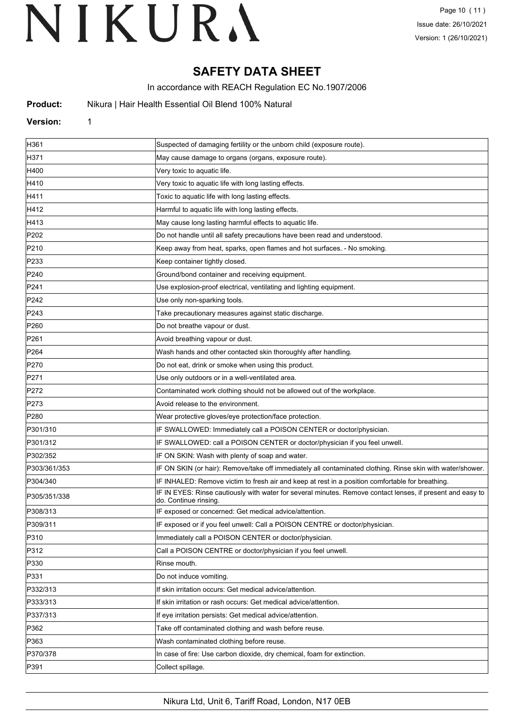## **SAFETY DATA SHEET**

In accordance with REACH Regulation EC No.1907/2006

**Product:** Nikura | Hair Health Essential Oil Blend 100% Natural

#### **Version:** 1

| H361             | Suspected of damaging fertility or the unborn child (exposure route).                                                              |
|------------------|------------------------------------------------------------------------------------------------------------------------------------|
| H371             | May cause damage to organs (organs, exposure route).                                                                               |
| H400             | Very toxic to aquatic life.                                                                                                        |
| H410             | Very toxic to aquatic life with long lasting effects.                                                                              |
| H411             | Toxic to aquatic life with long lasting effects.                                                                                   |
| H412             | Harmful to aquatic life with long lasting effects.                                                                                 |
| H413             | May cause long lasting harmful effects to aquatic life.                                                                            |
| P202             | Do not handle until all safety precautions have been read and understood.                                                          |
| P210             | Keep away from heat, sparks, open flames and hot surfaces. - No smoking.                                                           |
| P233             | Keep container tightly closed.                                                                                                     |
| P240             | Ground/bond container and receiving equipment.                                                                                     |
| P241             | Use explosion-proof electrical, ventilating and lighting equipment.                                                                |
| P242             | Use only non-sparking tools.                                                                                                       |
| P243             | Take precautionary measures against static discharge.                                                                              |
| P <sub>260</sub> | Do not breathe vapour or dust.                                                                                                     |
| P261             | Avoid breathing vapour or dust.                                                                                                    |
| P <sub>264</sub> | Wash hands and other contacted skin thoroughly after handling.                                                                     |
| P270             | Do not eat, drink or smoke when using this product.                                                                                |
| P271             | Use only outdoors or in a well-ventilated area.                                                                                    |
| P272             | Contaminated work clothing should not be allowed out of the workplace.                                                             |
| P273             | Avoid release to the environment.                                                                                                  |
| P280             | Wear protective gloves/eye protection/face protection.                                                                             |
| P301/310         | IF SWALLOWED: Immediately call a POISON CENTER or doctor/physician.                                                                |
| P301/312         | IF SWALLOWED: call a POISON CENTER or doctor/physician if you feel unwell.                                                         |
| P302/352         | IF ON SKIN: Wash with plenty of soap and water.                                                                                    |
| P303/361/353     | IF ON SKIN (or hair): Remove/take off immediately all contaminated clothing. Rinse skin with water/shower.                         |
| P304/340         | IF INHALED: Remove victim to fresh air and keep at rest in a position comfortable for breathing.                                   |
| P305/351/338     | IF IN EYES: Rinse cautiously with water for several minutes. Remove contact lenses, if present and easy to<br>do. Continue rinsing |
| P308/313         | IF exposed or concerned: Get medical advice/attention.                                                                             |
| P309/311         | IF exposed or if you feel unwell: Call a POISON CENTRE or doctor/physician.                                                        |
| P310             | Immediately call a POISON CENTER or doctor/physician.                                                                              |
| P312             | Call a POISON CENTRE or doctor/physician if you feel unwell.                                                                       |
| P330             | Rinse mouth.                                                                                                                       |
| P331             | Do not induce vomiting.                                                                                                            |
| P332/313         | If skin irritation occurs: Get medical advice/attention.                                                                           |
| P333/313         | If skin irritation or rash occurs: Get medical advice/attention.                                                                   |
| P337/313         | If eye irritation persists: Get medical advice/attention.                                                                          |
| P362             | Take off contaminated clothing and wash before reuse.                                                                              |
| P363             | Wash contaminated clothing before reuse.                                                                                           |
| P370/378         | In case of fire: Use carbon dioxide, dry chemical, foam for extinction.                                                            |
| P391             | Collect spillage.                                                                                                                  |